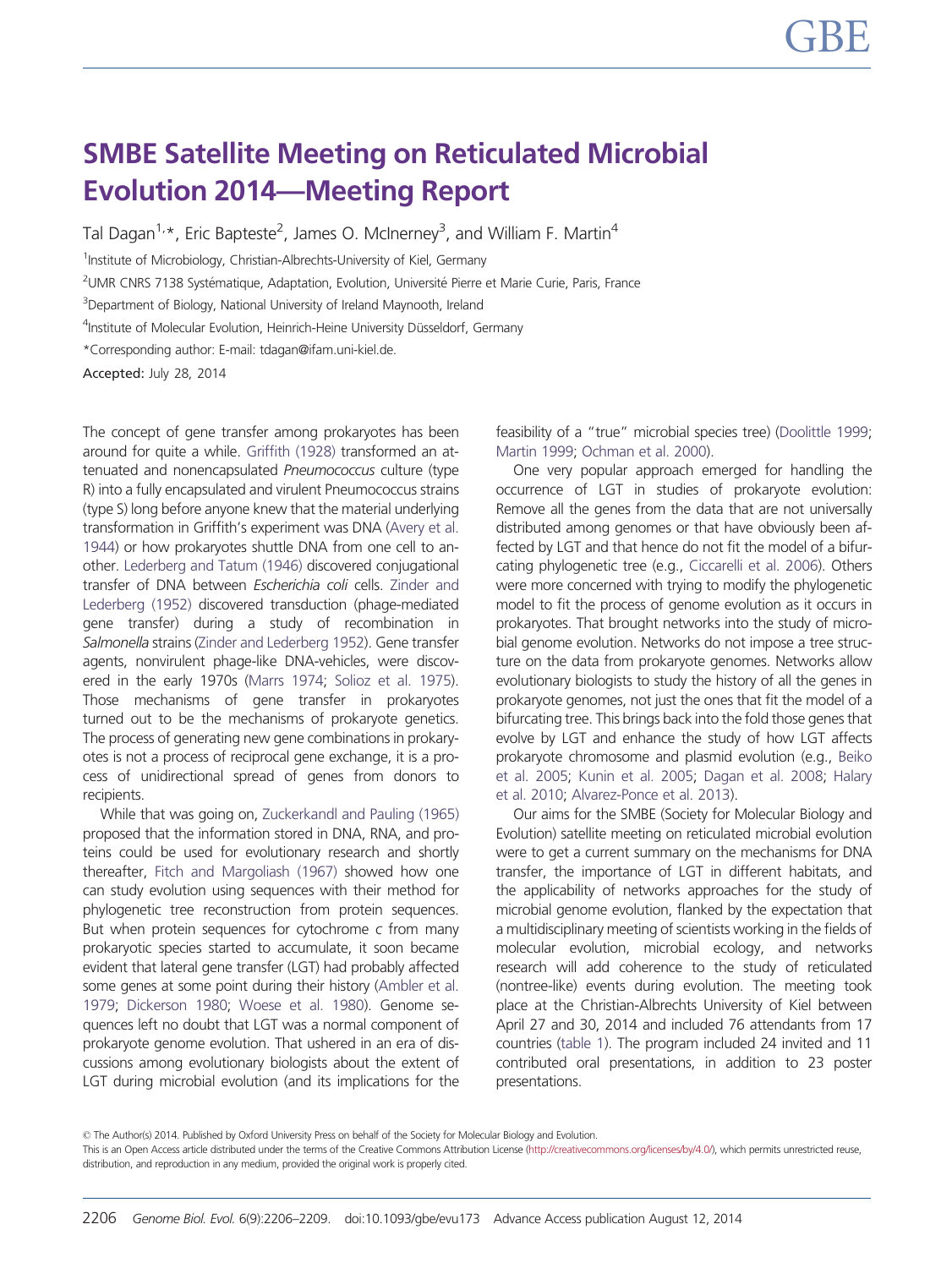## SMBE Satellite Meeting on Reticulated Microbial Evolution 2014—Meeting Report

Tal Dagan<sup>1,</sup>\*, Eric Bapteste<sup>2</sup>, James O. McInerney<sup>3</sup>, and William F. Martin<sup>4</sup>

<sup>1</sup>Institute of Microbiology, Christian-Albrechts-University of Kiel, Germany

<sup>2</sup>UMR CNRS 7138 Systématique, Adaptation, Evolution, Université Pierre et Marie Curie, Paris, France

<sup>3</sup>Department of Biology, National University of Ireland Maynooth, Ireland

<sup>4</sup>Institute of Molecular Evolution, Heinrich-Heine University Düsseldorf, Germany

\*Corresponding author: E-mail: tdagan@ifam.uni-kiel.de.

Accepted: July 28, 2014

The concept of gene transfer among prokaryotes has been around for quite a while. [Griffith \(1928\)](#page-3-0) transformed an attenuated and nonencapsulated Pneumococcus culture (type R) into a fully encapsulated and virulent Pneumococcus strains (type S) long before anyone knew that the material underlying transformation in Griffith's experiment was DNA [\(Avery et al.](#page-3-0) [1944\)](#page-3-0) or how prokaryotes shuttle DNA from one cell to another. [Lederberg and Tatum \(1946\)](#page-3-0) discovered conjugational transfer of DNA between Escherichia coli cells. [Zinder and](#page-3-0) [Lederberg \(1952\)](#page-3-0) discovered transduction (phage-mediated gene transfer) during a study of recombination in Salmonella strains [\(Zinder and Lederberg 1952\)](#page-3-0). Gene transfer agents, nonvirulent phage-like DNA-vehicles, were discovered in the early 1970s ([Marrs 1974](#page-3-0); [Solioz et al. 1975](#page-3-0)). Those mechanisms of gene transfer in prokaryotes turned out to be the mechanisms of prokaryote genetics. The process of generating new gene combinations in prokaryotes is not a process of reciprocal gene exchange, it is a process of unidirectional spread of genes from donors to recipients.

While that was going on, [Zuckerkandl and Pauling \(1965\)](#page-3-0) proposed that the information stored in DNA, RNA, and proteins could be used for evolutionary research and shortly thereafter, [Fitch and Margoliash \(1967\)](#page-3-0) showed how one can study evolution using sequences with their method for phylogenetic tree reconstruction from protein sequences. But when protein sequences for cytochrome c from many prokaryotic species started to accumulate, it soon became evident that lateral gene transfer (LGT) had probably affected some genes at some point during their history ([Ambler et al.](#page-3-0) [1979;](#page-3-0) [Dickerson 1980](#page-3-0); [Woese et al. 1980\)](#page-3-0). Genome sequences left no doubt that LGT was a normal component of prokaryote genome evolution. That ushered in an era of discussions among evolutionary biologists about the extent of LGT during microbial evolution (and its implications for the

feasibility of a "true" microbial species tree) ([Doolittle 1999](#page-3-0); [Martin 1999;](#page-3-0) [Ochman et al. 2000\)](#page-3-0).

One very popular approach emerged for handling the occurrence of LGT in studies of prokaryote evolution: Remove all the genes from the data that are not universally distributed among genomes or that have obviously been affected by LGT and that hence do not fit the model of a bifurcating phylogenetic tree (e.g., [Ciccarelli et al. 2006\)](#page-3-0). Others were more concerned with trying to modify the phylogenetic model to fit the process of genome evolution as it occurs in prokaryotes. That brought networks into the study of microbial genome evolution. Networks do not impose a tree structure on the data from prokaryote genomes. Networks allow evolutionary biologists to study the history of all the genes in prokaryote genomes, not just the ones that fit the model of a bifurcating tree. This brings back into the fold those genes that evolve by LGT and enhance the study of how LGT affects prokaryote chromosome and plasmid evolution (e.g., [Beiko](#page-3-0) [et al. 2005](#page-3-0); [Kunin et al. 2005;](#page-3-0) [Dagan et al. 2008](#page-3-0); [Halary](#page-3-0) [et al. 2010](#page-3-0); [Alvarez-Ponce et al. 2013\)](#page-3-0).

Our aims for the SMBE (Society for Molecular Biology and Evolution) satellite meeting on reticulated microbial evolution were to get a current summary on the mechanisms for DNA transfer, the importance of LGT in different habitats, and the applicability of networks approaches for the study of microbial genome evolution, flanked by the expectation that a multidisciplinary meeting of scientists working in the fields of molecular evolution, microbial ecology, and networks research will add coherence to the study of reticulated (nontree-like) events during evolution. The meeting took place at the Christian-Albrechts University of Kiel between April 27 and 30, 2014 and included 76 attendants from 17 countries [\(table 1](#page-1-0)). The program included 24 invited and 11 contributed oral presentations, in addition to 23 poster presentations.

<sup>©</sup> The Author(s) 2014. Published by Oxford University Press on behalf of the Society for Molecular Biology and Evolution.

This is an Open Access article distributed under the terms of the Creative Commons Attribution License [\(http://creativecommons.org/licenses/by/4.0/\)](XPath error Undefined namespace prefix), which permits unrestricted reuse, distribution, and reproduction in any medium, provided the original work is properly cited.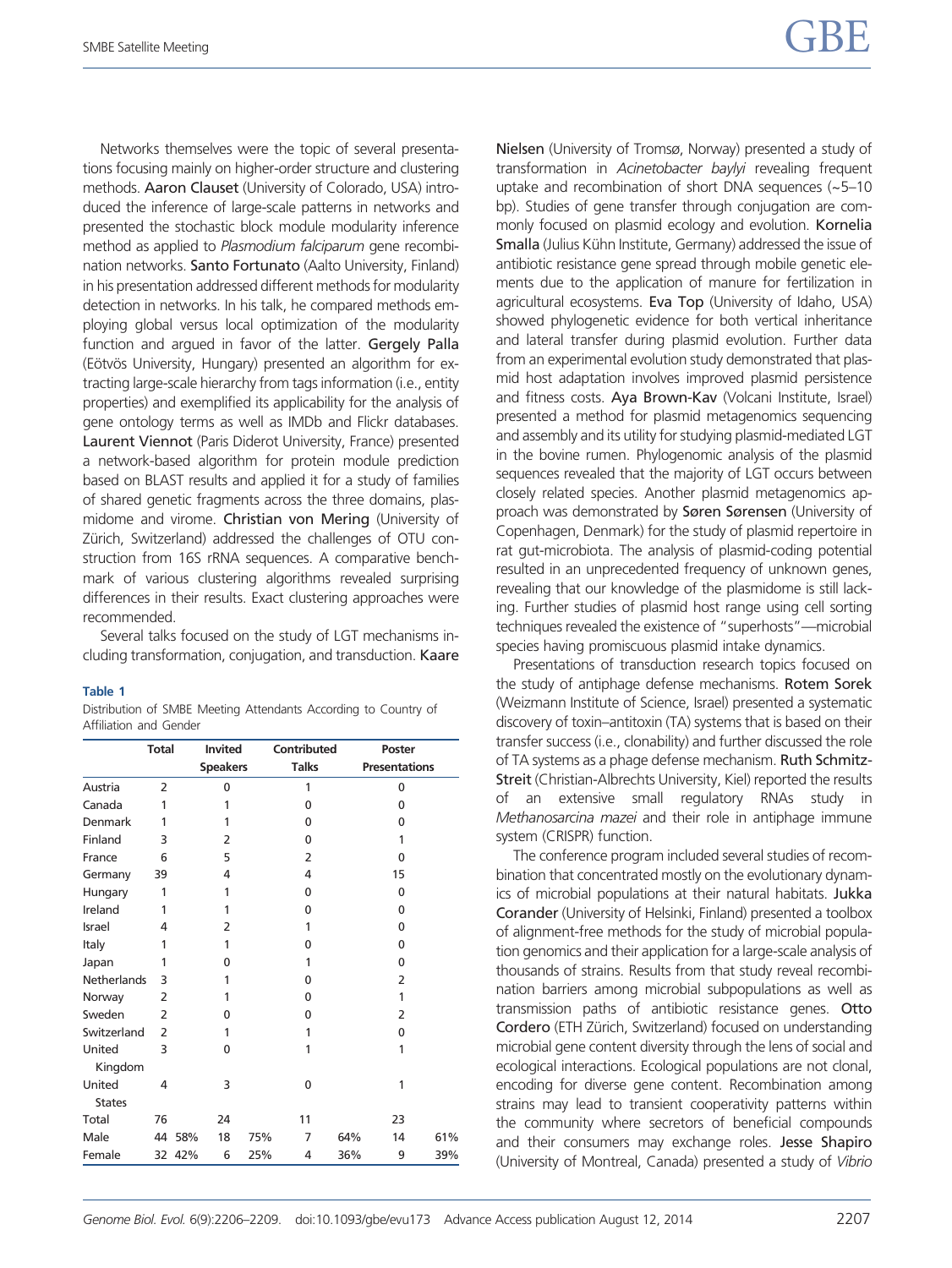<span id="page-1-0"></span>Networks themselves were the topic of several presentations focusing mainly on higher-order structure and clustering methods. Aaron Clauset (University of Colorado, USA) introduced the inference of large-scale patterns in networks and presented the stochastic block module modularity inference method as applied to Plasmodium falciparum gene recombination networks. Santo Fortunato (Aalto University, Finland) in his presentation addressed different methods for modularity detection in networks. In his talk, he compared methods employing global versus local optimization of the modularity function and argued in favor of the latter. Gergely Palla (Eötvös University, Hungary) presented an algorithm for extracting large-scale hierarchy from tags information (i.e., entity properties) and exemplified its applicability for the analysis of gene ontology terms as well as IMDb and Flickr databases. Laurent Viennot (Paris Diderot University, France) presented a network-based algorithm for protein module prediction based on BLAST results and applied it for a study of families of shared genetic fragments across the three domains, plasmidome and virome. Christian von Mering (University of Zürich, Switzerland) addressed the challenges of OTU construction from 16S rRNA sequences. A comparative benchmark of various clustering algorithms revealed surprising differences in their results. Exact clustering approaches were recommended.

Several talks focused on the study of LGT mechanisms including transformation, conjugation, and transduction. Kaare

## Table 1

|                         | <b>Total</b>   |        | <b>Invited</b>  |     | Contributed    |     | Poster               |     |
|-------------------------|----------------|--------|-----------------|-----|----------------|-----|----------------------|-----|
|                         |                |        | <b>Speakers</b> |     | <b>Talks</b>   |     | <b>Presentations</b> |     |
| Austria                 | $\overline{2}$ |        | 0               |     | 1              |     | 0                    |     |
| Canada                  | 1              |        | 1               |     | 0              |     | 0                    |     |
| Denmark                 | 1              |        | 1               |     | 0              |     | 0                    |     |
| Finland                 | 3              |        | $\overline{2}$  |     | 0              |     | 1                    |     |
| France                  | 6              |        | 5               |     | $\overline{2}$ |     | $\mathbf{0}$         |     |
| Germany                 | 39             |        | 4               |     | 4              |     | 15                   |     |
| Hungary                 | 1              |        | 1               |     | 0              |     | 0                    |     |
| Ireland                 | 1              |        | 1               |     | 0              |     | 0                    |     |
| Israel                  | 4              |        | $\overline{2}$  |     | 1              |     | 0                    |     |
| Italy                   | 1              |        | 1               |     | 0              |     | 0                    |     |
| Japan                   | 1              |        | 0               |     | 1              |     | 0                    |     |
| <b>Netherlands</b>      | 3              |        | 1               |     | 0              |     | $\overline{2}$       |     |
| Norway                  | 2              |        | 1               |     | 0              |     | 1                    |     |
| Sweden                  | $\overline{2}$ |        | 0               |     | 0              |     | $\overline{2}$       |     |
| Switzerland             | $\overline{2}$ |        | 1               |     | 1              |     | 0                    |     |
| United<br>Kingdom       | 3              |        | 0               |     | 1              |     | 1                    |     |
| United<br><b>States</b> | 4              |        | 3               |     | 0              |     | 1                    |     |
| Total                   | 76             |        | 24              |     | 11             |     | 23                   |     |
| Male                    | 44             | 58%    | 18              | 75% | 7              | 64% | 14                   | 61% |
| Female                  |                | 32 42% | 6               | 25% | 4              | 36% | 9                    | 39% |

Distribution of SMBE Meeting Attendants According to Country of Affiliation and Gender

Nielsen (University of Tromsø, Norway) presented a study of transformation in Acinetobacter baylyi revealing frequent uptake and recombination of short DNA sequences (~5–10 bp). Studies of gene transfer through conjugation are commonly focused on plasmid ecology and evolution. Kornelia Smalla (Julius Kühn Institute, Germany) addressed the issue of antibiotic resistance gene spread through mobile genetic elements due to the application of manure for fertilization in agricultural ecosystems. Eva Top (University of Idaho, USA) showed phylogenetic evidence for both vertical inheritance and lateral transfer during plasmid evolution. Further data from an experimental evolution study demonstrated that plasmid host adaptation involves improved plasmid persistence and fitness costs. Aya Brown-Kav (Volcani Institute, Israel) presented a method for plasmid metagenomics sequencing and assembly and its utility for studying plasmid-mediated LGT in the bovine rumen. Phylogenomic analysis of the plasmid sequences revealed that the majority of LGT occurs between closely related species. Another plasmid metagenomics approach was demonstrated by Søren Sørensen (University of Copenhagen, Denmark) for the study of plasmid repertoire in rat gut-microbiota. The analysis of plasmid-coding potential resulted in an unprecedented frequency of unknown genes, revealing that our knowledge of the plasmidome is still lacking. Further studies of plasmid host range using cell sorting techniques revealed the existence of "superhosts"—microbial species having promiscuous plasmid intake dynamics.

Presentations of transduction research topics focused on the study of antiphage defense mechanisms. Rotem Sorek (Weizmann Institute of Science, Israel) presented a systematic discovery of toxin–antitoxin (TA) systems that is based on their transfer success (i.e., clonability) and further discussed the role of TA systems as a phage defense mechanism. Ruth Schmitz-Streit (Christian-Albrechts University, Kiel) reported the results of an extensive small regulatory RNAs study in Methanosarcina mazei and their role in antiphage immune system (CRISPR) function.

The conference program included several studies of recombination that concentrated mostly on the evolutionary dynamics of microbial populations at their natural habitats. Jukka Corander (University of Helsinki, Finland) presented a toolbox of alignment-free methods for the study of microbial population genomics and their application for a large-scale analysis of thousands of strains. Results from that study reveal recombination barriers among microbial subpopulations as well as transmission paths of antibiotic resistance genes. Otto Cordero (ETH Zürich, Switzerland) focused on understanding microbial gene content diversity through the lens of social and ecological interactions. Ecological populations are not clonal, encoding for diverse gene content. Recombination among strains may lead to transient cooperativity patterns within the community where secretors of beneficial compounds and their consumers may exchange roles. Jesse Shapiro (University of Montreal, Canada) presented a study of Vibrio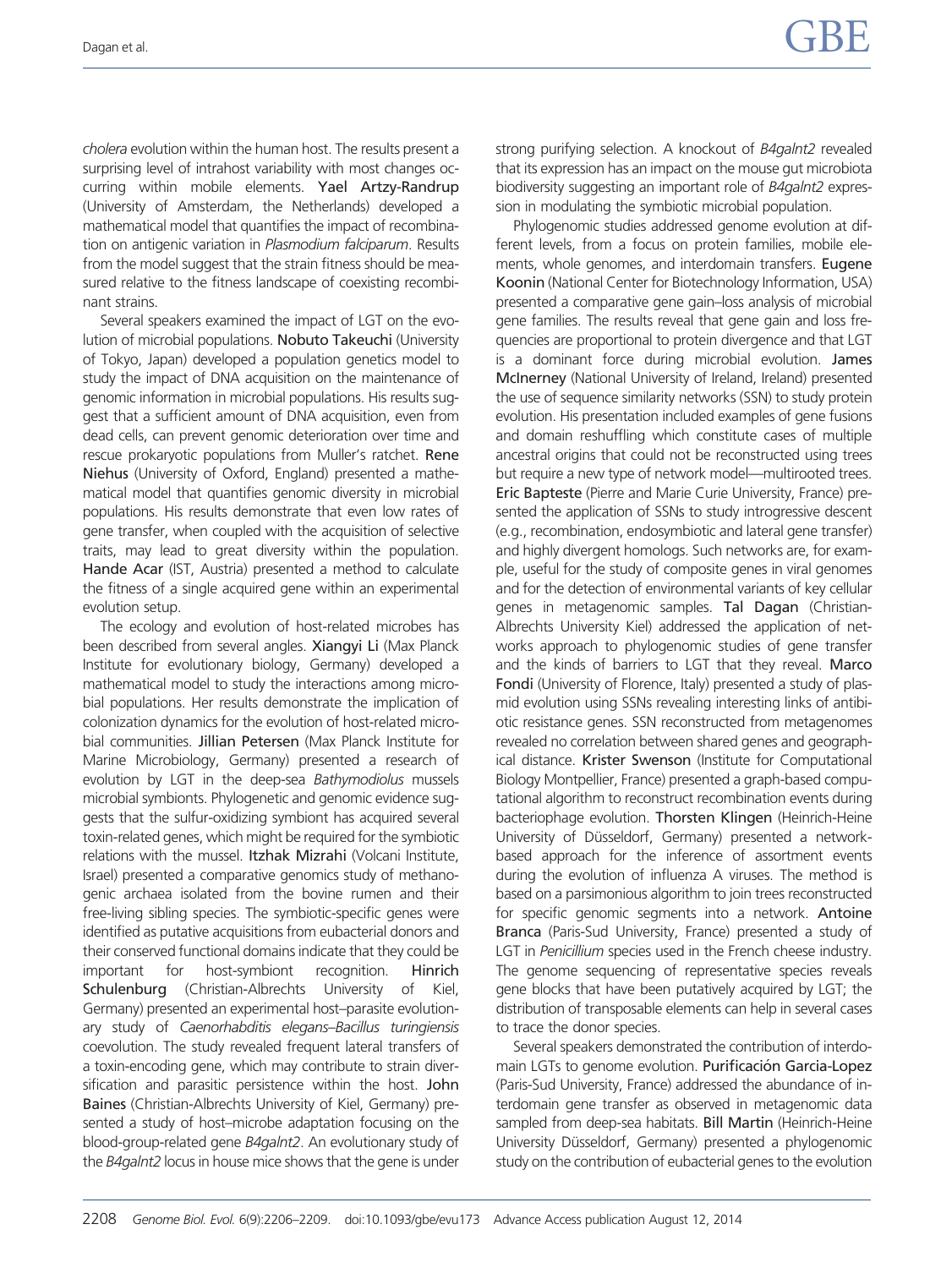cholera evolution within the human host. The results present a surprising level of intrahost variability with most changes occurring within mobile elements. Yael Artzy-Randrup (University of Amsterdam, the Netherlands) developed a mathematical model that quantifies the impact of recombination on antigenic variation in Plasmodium falciparum. Results from the model suggest that the strain fitness should be measured relative to the fitness landscape of coexisting recombinant strains.

Several speakers examined the impact of LGT on the evolution of microbial populations. Nobuto Takeuchi (University of Tokyo, Japan) developed a population genetics model to study the impact of DNA acquisition on the maintenance of genomic information in microbial populations. His results suggest that a sufficient amount of DNA acquisition, even from dead cells, can prevent genomic deterioration over time and rescue prokaryotic populations from Muller's ratchet. Rene Niehus (University of Oxford, England) presented a mathematical model that quantifies genomic diversity in microbial populations. His results demonstrate that even low rates of gene transfer, when coupled with the acquisition of selective traits, may lead to great diversity within the population. Hande Acar (IST, Austria) presented a method to calculate the fitness of a single acquired gene within an experimental evolution setup.

The ecology and evolution of host-related microbes has been described from several angles. Xiangyi Li (Max Planck Institute for evolutionary biology, Germany) developed a mathematical model to study the interactions among microbial populations. Her results demonstrate the implication of colonization dynamics for the evolution of host-related microbial communities. Jillian Petersen (Max Planck Institute for Marine Microbiology, Germany) presented a research of evolution by LGT in the deep-sea Bathymodiolus mussels microbial symbionts. Phylogenetic and genomic evidence suggests that the sulfur-oxidizing symbiont has acquired several toxin-related genes, which might be required for the symbiotic relations with the mussel. Itzhak Mizrahi (Volcani Institute, Israel) presented a comparative genomics study of methanogenic archaea isolated from the bovine rumen and their free-living sibling species. The symbiotic-specific genes were identified as putative acquisitions from eubacterial donors and their conserved functional domains indicate that they could be important for host-symbiont recognition. Hinrich Schulenburg (Christian-Albrechts University of Kiel, Germany) presented an experimental host–parasite evolutionary study of Caenorhabditis elegans–Bacillus turingiensis coevolution. The study revealed frequent lateral transfers of a toxin-encoding gene, which may contribute to strain diversification and parasitic persistence within the host. John Baines (Christian-Albrechts University of Kiel, Germany) presented a study of host–microbe adaptation focusing on the blood-group-related gene B4galnt2. An evolutionary study of the *B4galnt2* locus in house mice shows that the gene is under

strong purifying selection. A knockout of B4galnt2 revealed that its expression has an impact on the mouse gut microbiota biodiversity suggesting an important role of B4galnt2 expression in modulating the symbiotic microbial population.

Phylogenomic studies addressed genome evolution at different levels, from a focus on protein families, mobile elements, whole genomes, and interdomain transfers. Eugene Koonin (National Center for Biotechnology Information, USA) presented a comparative gene gain–loss analysis of microbial gene families. The results reveal that gene gain and loss frequencies are proportional to protein divergence and that LGT is a dominant force during microbial evolution. James McInerney (National University of Ireland, Ireland) presented the use of sequence similarity networks (SSN) to study protein evolution. His presentation included examples of gene fusions and domain reshuffling which constitute cases of multiple ancestral origins that could not be reconstructed using trees but require a new type of network model—multirooted trees. Eric Bapteste (Pierre and Marie Curie University, France) presented the application of SSNs to study introgressive descent (e.g., recombination, endosymbiotic and lateral gene transfer) and highly divergent homologs. Such networks are, for example, useful for the study of composite genes in viral genomes and for the detection of environmental variants of key cellular genes in metagenomic samples. Tal Dagan (Christian-Albrechts University Kiel) addressed the application of networks approach to phylogenomic studies of gene transfer and the kinds of barriers to LGT that they reveal. Marco Fondi (University of Florence, Italy) presented a study of plasmid evolution using SSNs revealing interesting links of antibiotic resistance genes. SSN reconstructed from metagenomes revealed no correlation between shared genes and geographical distance. Krister Swenson (Institute for Computational Biology Montpellier, France) presented a graph-based computational algorithm to reconstruct recombination events during bacteriophage evolution. Thorsten Klingen (Heinrich-Heine University of Düsseldorf, Germany) presented a networkbased approach for the inference of assortment events during the evolution of influenza A viruses. The method is based on a parsimonious algorithm to join trees reconstructed for specific genomic segments into a network. Antoine Branca (Paris-Sud University, France) presented a study of LGT in Penicillium species used in the French cheese industry. The genome sequencing of representative species reveals gene blocks that have been putatively acquired by LGT; the distribution of transposable elements can help in several cases to trace the donor species.

Several speakers demonstrated the contribution of interdomain LGTs to genome evolution. Purificación Garcia-Lopez (Paris-Sud University, France) addressed the abundance of interdomain gene transfer as observed in metagenomic data sampled from deep-sea habitats. Bill Martin (Heinrich-Heine University Düsseldorf, Germany) presented a phylogenomic study on the contribution of eubacterial genes to the evolution